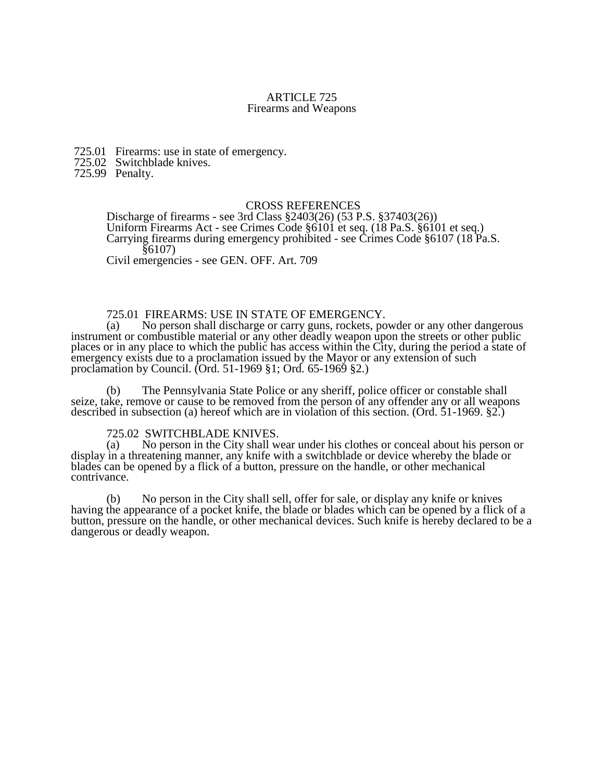#### ARTICLE 725 Firearms and Weapons

725.01 Firearms: use in state of emergency.

725.02 Switchblade knives.

725.99 Penalty.

### CROSS REFERENCES

Discharge of firearms - see 3rd Class §2403(26) (53 P.S. §37403(26)) Uniform Firearms Act - see Crimes Code §6101 et seq. (18 Pa.S. §6101 et seq.) Carrying firearms during emergency prohibited - see Crimes Code §6107 (18 Pa.S. §6107)

Civil emergencies - see GEN. OFF. Art. 709

#### 725.01 FIREARMS: USE IN STATE OF EMERGENCY.

(a) No person shall discharge or carry guns, rockets, powder or any other dangerous instrument or combustible material or any other deadly weapon upon the streets or other public places or in any place to which the public has access within the City, during the period a state of emergency exists due to a proclamation issued by the Mayor or any extension of such proclamation by Council. (Ord. 51-1969 §1; Ord. 65-1969 §2.)

(b) The Pennsylvania State Police or any sheriff, police officer or constable shall seize, take, remove or cause to be removed from the person of any offender any or all weapons described in subsection (a) hereof which are in violation of this section. (Ord. 51-1969. §2.)

# 725.02 SWITCHBLADE KNIVES.<br>(a) No person in the City shall w

No person in the City shall wear under his clothes or conceal about his person or display in a threatening manner, any knife with a switchblade or device whereby the blade or blades can be opened by a flick of a button, pressure on the handle, or other mechanical contrivance.

(b) No person in the City shall sell, offer for sale, or display any knife or knives having the appearance of a pocket knife, the blade or blades which can be opened by a flick of a button, pressure on the handle, or other mechanical devices. Such knife is hereby declared to be a dangerous or deadly weapon.